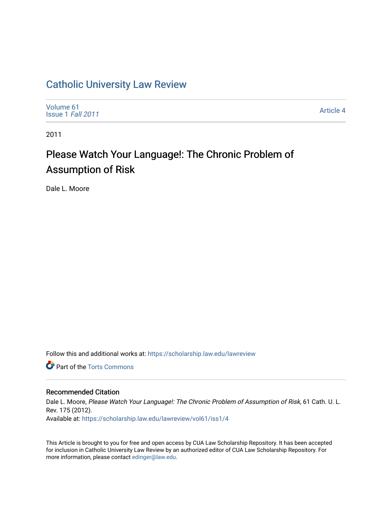# [Catholic University Law Review](https://scholarship.law.edu/lawreview)

[Volume 61](https://scholarship.law.edu/lawreview/vol61) [Issue 1](https://scholarship.law.edu/lawreview/vol61/iss1) Fall 2011

[Article 4](https://scholarship.law.edu/lawreview/vol61/iss1/4) 

2011

# Please Watch Your Language!: The Chronic Problem of Assumption of Risk

Dale L. Moore

Follow this and additional works at: [https://scholarship.law.edu/lawreview](https://scholarship.law.edu/lawreview?utm_source=scholarship.law.edu%2Flawreview%2Fvol61%2Fiss1%2F4&utm_medium=PDF&utm_campaign=PDFCoverPages)

**Part of the [Torts Commons](http://network.bepress.com/hgg/discipline/913?utm_source=scholarship.law.edu%2Flawreview%2Fvol61%2Fiss1%2F4&utm_medium=PDF&utm_campaign=PDFCoverPages)** 

# Recommended Citation

Dale L. Moore, Please Watch Your Language!: The Chronic Problem of Assumption of Risk, 61 Cath. U. L. Rev. 175 (2012). Available at: [https://scholarship.law.edu/lawreview/vol61/iss1/4](https://scholarship.law.edu/lawreview/vol61/iss1/4?utm_source=scholarship.law.edu%2Flawreview%2Fvol61%2Fiss1%2F4&utm_medium=PDF&utm_campaign=PDFCoverPages)

This Article is brought to you for free and open access by CUA Law Scholarship Repository. It has been accepted for inclusion in Catholic University Law Review by an authorized editor of CUA Law Scholarship Repository. For more information, please contact [edinger@law.edu.](mailto:edinger@law.edu)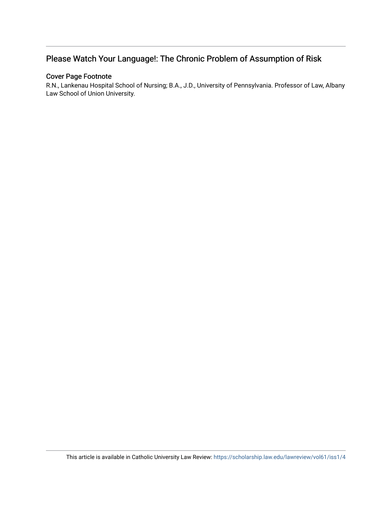# Please Watch Your Language!: The Chronic Problem of Assumption of Risk

# Cover Page Footnote

R.N., Lankenau Hospital School of Nursing; B.A., J.D., University of Pennsylvania. Professor of Law, Albany Law School of Union University.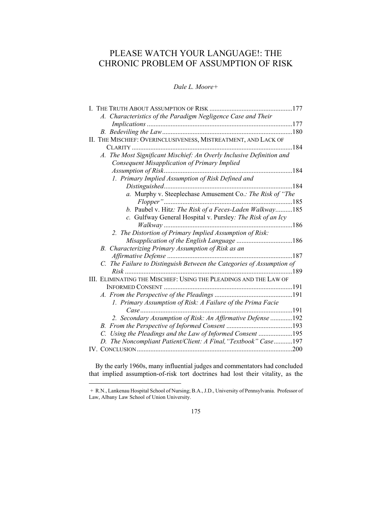# PLEASE WATCH YOUR LANGUAGE!: THE CHRONIC PROBLEM OF ASSUMPTION OF RISK

*Dale L. Moore+* 

| THE TRUTH ABOUT ASSUMPTION OF RISK.<br>. 177                          |  |
|-----------------------------------------------------------------------|--|
| A. Characteristics of the Paradigm Negligence Case and Their          |  |
|                                                                       |  |
| .180                                                                  |  |
| II. THE MISCHIEF: OVERINCLUSIVENESS, MISTREATMENT, AND LACK OF        |  |
| .184<br>$CLARITY$                                                     |  |
| A. The Most Significant Mischief: An Overly Inclusive Definition and  |  |
| Consequent Misapplication of Primary Implied                          |  |
| .184                                                                  |  |
| 1. Primary Implied Assumption of Risk Defined and                     |  |
|                                                                       |  |
| a. Murphy v. Steeplechase Amusement Co.: The Risk of "The             |  |
|                                                                       |  |
| b. Paubel v. Hitz: The Risk of a Feces-Laden Walkway 185              |  |
| c. Gulfway General Hospital v. Pursley: The Risk of an Icy            |  |
|                                                                       |  |
| 2. The Distortion of Primary Implied Assumption of Risk:              |  |
|                                                                       |  |
| B. Characterizing Primary Assumption of Risk as an                    |  |
| 187                                                                   |  |
| C. The Failure to Distinguish Between the Categories of Assumption of |  |
|                                                                       |  |
| III. ELIMINATING THE MISCHIEF: USING THE PLEADINGS AND THE LAW OF     |  |
|                                                                       |  |
|                                                                       |  |
| 1. Primary Assumption of Risk: A Failure of the Prima Facie           |  |
| .191                                                                  |  |
| 2. Secondary Assumption of Risk: An Affirmative Defense 192           |  |
|                                                                       |  |
| Using the Pleadings and the Law of Informed Consent 195<br>C.         |  |
| D. The Noncompliant Patient/Client: A Final, "Textbook" Case197       |  |
|                                                                       |  |

By the early 1960s, many influential judges and commentators had concluded that implied assumption-of-risk tort doctrines had lost their vitality, as the

 <sup>+</sup> R.N., Lankenau Hospital School of Nursing; B.A., J.D., University of Pennsylvania. Professor of Law, Albany Law School of Union University.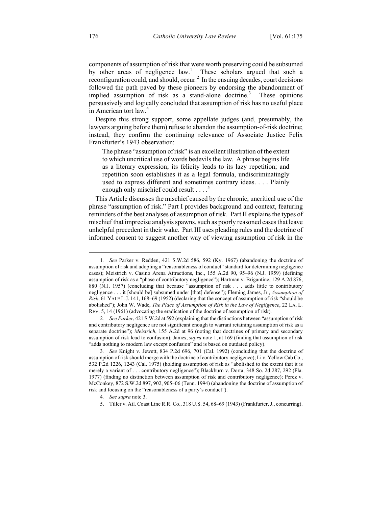components of assumption of risk that were worth preserving could be subsumed by other areas of negligence law.<sup>1</sup> These scholars argued that such a reconfiguration could, and should, occur.<sup>2</sup> In the ensuing decades, court decisions followed the path paved by these pioneers by endorsing the abandonment of implied assumption of risk as a stand-alone doctrine.<sup>3</sup> These opinions persuasively and logically concluded that assumption of risk has no useful place in American tort law.<sup>4</sup>

Despite this strong support, some appellate judges (and, presumably, the lawyers arguing before them) refuse to abandon the assumption-of-risk doctrine; instead, they confirm the continuing relevance of Associate Justice Felix Frankfurter's 1943 observation:

The phrase "assumption of risk" is an excellent illustration of the extent to which uncritical use of words bedevils the law. A phrase begins life as a literary expression; its felicity leads to its lazy repetition; and repetition soon establishes it as a legal formula, undiscriminatingly used to express different and sometimes contrary ideas. . . . Plainly enough only mischief could result . . . .<sup>5</sup>

This Article discusses the mischief caused by the chronic, uncritical use of the phrase "assumption of risk." Part I provides background and context, featuring reminders of the best analyses of assumption of risk. Part II explains the types of mischief that imprecise analysis spawns, such as poorly reasoned cases that leave unhelpful precedent in their wake. Part III uses pleading rules and the doctrine of informed consent to suggest another way of viewing assumption of risk in the

2*. See Parker*, 421 S.W.2d at 592 (explaining that the distinctions between "assumption of risk and contributory negligence are not significant enough to warrant retaining assumption of risk as a separate doctrine"); *Meistrich*, 155 A.2d at 96 (noting that doctrines of primary and secondary assumption of risk lead to confusion); James, *supra* note 1, at 169 (finding that assumption of risk "adds nothing to modern law except confusion" and is based on outdated policy).

 <sup>1</sup>*. See* Parker v. Redden, 421 S.W.2d 586, 592 (Ky. 1967) (abandoning the doctrine of assumption of risk and adopting a "reasonableness of conduct" standard for determining negligence cases); Meistrich v. Casino Arena Attractions, Inc., 155 A.2d 90, 95–96 (N.J. 1959) (defining assumption of risk as a "phase of contributory negligence"); Hartman v. Brigantine, 129 A.2d 876, 880 (N.J. 1957) (concluding that because "assumption of risk . . . adds little to contributory negligence . . . it [should be] subsumed under [that] defense"); Fleming James, Jr., *Assumption of Risk*, 61 YALE L.J. 141, 168–69 (1952) (declaring that the concept of assumption of risk "should be abolished"); John W. Wade, *The Place of Assumption of Risk in the Law of Negligence*, 22 LA. L. REV. 5, 14 (1961) (advocating the eradication of the doctrine of assumption of risk).

<sup>3</sup>*. See* Knight v. Jewett, 834 P.2d 696, 701 (Cal. 1992) (concluding that the doctrine of assumption of risk should merge with the doctrine of contributory negligence); Li v. Yellow Cab Co., 532 P.2d 1226, 1243 (Cal. 1975) (holding assumption of risk as "abolished to the extent that it is merely a variant of . . . contributory negligence"); Blackburn v. Dorta, 348 So. 2d 287, 292 (Fla. 1977) (finding no distinction between assumption of risk and contributory negligence); Perez v. McConkey, 872 S.W.2d 897, 902, 905–06 (Tenn. 1994) (abandoning the doctrine of assumption of risk and focusing on the "reasonableness of a party's conduct").

<sup>4</sup>*. See supra* note 3.

 <sup>5.</sup> Tiller v. Atl. Coast Line R.R. Co., 318 U.S. 54, 68–69 (1943) (Frankfurter, J., concurring).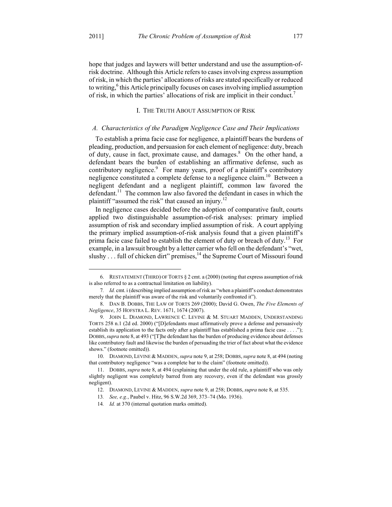1

hope that judges and laywers will better understand and use the assumption-ofrisk doctrine. Although this Article refers to cases involving express assumption of risk, in which the parties' allocations of risks are stated specifically or reduced to writing,<sup>6</sup> this Article principally focuses on cases involving implied assumption of risk, in which the parties' allocations of risk are implicit in their conduct.<sup>7</sup>

### I. THE TRUTH ABOUT ASSUMPTION OF RISK

#### *A. Characteristics of the Paradigm Negligence Case and Their Implications*

To establish a prima facie case for negligence, a plaintiff bears the burdens of pleading, production, and persuasion for each element of negligence: duty, breach of duty, cause in fact, proximate cause, and damages.<sup>8</sup> On the other hand, a defendant bears the burden of establishing an affirmative defense, such as contributory negligence.<sup>9</sup> For many years, proof of a plaintiff's contributory negligence constituted a complete defense to a negligence claim.<sup>10</sup> Between a negligent defendant and a negligent plaintiff, common law favored the defendant.<sup>11</sup> The common law also favored the defendant in cases in which the plaintiff "assumed the risk" that caused an injury.<sup>12</sup>

In negligence cases decided before the adoption of comparative fault, courts applied two distinguishable assumption-of-risk analyses: primary implied assumption of risk and secondary implied assumption of risk. A court applying the primary implied assumption-of-risk analysis found that a given plaintiff's prima facie case failed to establish the element of duty or breach of duty.<sup>13</sup> For example, in a lawsuit brought by a letter carrier who fell on the defendant's "wet, slushy  $\dots$  full of chicken dirt" premises,  $^{14}$  the Supreme Court of Missouri found

 <sup>6.</sup> RESTATEMENT (THIRD) OF TORTS § 2 cmt. a (2000) (noting that express assumption of risk is also referred to as a contractual limitation on liability).

<sup>7</sup>*. Id.* cmt. i (describing implied assumption of risk as "when a plaintiff's conduct demonstrates merely that the plaintiff was aware of the risk and voluntarily confronted it").

 <sup>8.</sup> DAN B. DOBBS, THE LAW OF TORTS 269 (2000); David G. Owen, *The Five Elements of Negligence*, 35 HOFSTRA L. REV. 1671, 1674 (2007).

<sup>9.</sup> JOHN L. DIAMOND, LAWRENCE C. LEVINE & M. STUART MADDEN, UNDERSTANDING TORTS 258 n.1 (2d ed. 2000) ("[D]efendants must affirmatively prove a defense and persuasively establish its application to the facts only after a plaintiff has established a prima facie case . . . ."); DOBBS,*supra* note 8, at 493 ("[T]he defendant has the burden of producing evidence about defenses like contributory fault and likewise the burden of persuading the trier of fact about what the evidence shows." (footnote omitted)).

 <sup>10.</sup> DIAMOND, LEVINE & MADDEN, *supra* note 9, at 258; DOBBS,*supra* note 8, at 494 (noting that contributory negligence "was a complete bar to the claim" (footnote omitted)).

 <sup>11.</sup> DOBBS, *supra* note 8, at 494 (explaining that under the old rule, a plaintiff who was only slightly negligent was completely barred from any recovery, even if the defendant was grossly negligent).

 <sup>12.</sup> DIAMOND, LEVINE & MADDEN, *supra* note 9, at 258; DOBBS, *supra* note 8, at 535.

<sup>13</sup>*. See, e.g.*, Paubel v. Hitz, 96 S.W.2d 369, 373–74 (Mo. 1936).

<sup>14</sup>*. Id.* at 370 (internal quotation marks omitted).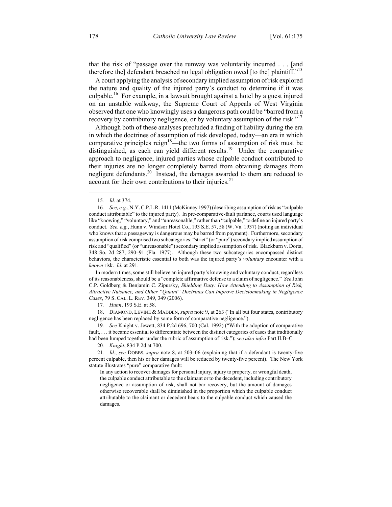that the risk of "passage over the runway was voluntarily incurred . . . [and therefore the] defendant breached no legal obligation owed [to the] plaintiff."<sup>15</sup>

A court applying the analysis of secondary implied assumption of risk explored the nature and quality of the injured party's conduct to determine if it was culpable.<sup>16</sup> For example, in a lawsuit brought against a hotel by a guest injured on an unstable walkway, the Supreme Court of Appeals of West Virginia observed that one who knowingly uses a dangerous path could be "barred from a recovery by contributory negligence, or by voluntary assumption of the risk."<sup>17</sup>

Although both of these analyses precluded a finding of liability during the era in which the doctrines of assumption of risk developed, today—an era in which comparative principles reign<sup>18</sup>—the two forms of assumption of risk must be distinguished, as each can yield different results.<sup>19</sup> Under the comparative approach to negligence, injured parties whose culpable conduct contributed to their injuries are no longer completely barred from obtaining damages from negligent defendants.20 Instead, the damages awarded to them are reduced to account for their own contributions to their injuries. $21$ 

 In modern times, some still believe an injured party's knowing and voluntary conduct, regardless of its reasonableness, should be a "complete affirmative defense to a claim of negligence." *See* John C.P. Goldberg & Benjamin C. Zipursky, *Shielding Duty: How Attending to Assumption of Risk, Attractive Nuisance, and Other "Quaint" Doctrines Can Improve Decisionmaking in Negligence Cases*, 79 S. CAL. L. REV. 349, 349 (2006).

17*. Hunn*, 193 S.E. at 58.

 18. DIAMOND, LEVINE & MADDEN, *supra* note 9, at 263 ("In all but four states, contributory negligence has been replaced by some form of comparative negligence.").

19*. See* Knight v. Jewett, 834 P.2d 696, 700 (Cal. 1992) ("With the adoption of comparative fault, . . . it became essential to differentiate between the distinct categories of cases that traditionally had been lumped together under the rubric of assumption of risk."); *see also infra* Part II.B–C.

20*. Knight*, 834 P.2d at 700*.*

21*. Id.*; *see* DOBBS, *supra* note 8, at 503–06 (explaining that if a defendant is twenty-five percent culpable, then his or her damages will be reduced by twenty-five percent). The New York statute illustrates "pure" comparative fault:

In any action to recover damages for personal injury, injury to property, or wrongful death, the culpable conduct attributable to the claimant or to the decedent, including contributory negligence or assumption of risk, shall not bar recovery, but the amount of damages otherwise recoverable shall be diminished in the proportion which the culpable conduct attributable to the claimant or decedent bears to the culpable conduct which caused the damages.

 <sup>15</sup>*. Id.* at 374.

<sup>16</sup>*. See, e.g.*, N.Y.C.P.L.R. 1411 (McKinney 1997) (describing assumption of risk as "culpable conduct attributable" to the injured party). In pre-comparative-fault parlance, courts used language like "knowing," "voluntary," and "unreasonable," rather than "culpable," to define an injured party's conduct. *See, e.g.*, Hunn v. Windsor Hotel Co., 193 S.E. 57, 58 (W. Va. 1937) (noting an individual who knows that a passageway is dangerous may be barred from payment). Furthermore, secondary assumption of risk comprised two subcategories: "strict" (or "pure") secondary implied assumption of risk and "qualified" (or "unreasonable") secondary implied assumption of risk. Blackburn v. Dorta, 348 So. 2d 287, 290–91 (Fla. 1977). Although these two subcategories encompassed distinct behaviors, the characteristic essential to both was the injured party's *voluntary* encounter with a *known* risk. *Id.* at 291.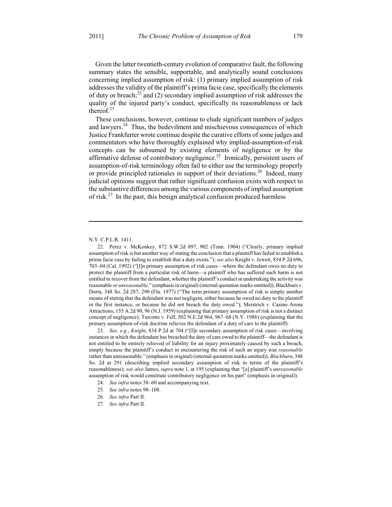Given the latter twentieth-century evolution of comparative fault, the following summary states the sensible, supportable, and analytically sound conclusions concerning implied assumption of risk: (1) primary implied assumption of risk addresses the validity of the plaintiff's prima facie case, specifically the elements of duty or breach; $^{22}$  and (2) secondary implied assumption of risk addresses the quality of the injured party's conduct, specifically its reasonableness or lack thereof.<sup>23</sup>

These conclusions, however, continue to elude significant numbers of judges and lawyers.<sup>24</sup> Thus, the bedevilment and mischievous consequences of which Justice Frankfurter wrote continue despite the curative efforts of some judges and commentators who have thoroughly explained why implied-assumption-of-risk concepts can be subsumed by existing elements of negligence or by the affirmative defense of contributory negligence.<sup>25</sup> Ironically, persistent users of assumption-of-risk terminology often fail to either use the terminology properly or provide principled rationales in support of their deviations.<sup>26</sup> Indeed, many judicial opinions suggest that rather significant confusion exists with respect to the substantive differences among the various components of implied assumption of risk.<sup>27</sup> In the past, this benign analytical confusion produced harmless

#### N.Y. C.P.L.R. 1411.

 $\overline{a}$ 

 22. Perez v. McKonkey, 872 S.W.2d 897, 902 (Tenn. 1904) ("Clearly, primary implied assumption of risk is but another way of stating the conclusion that a plaintiff has failed to establish a prima facie case by failing to establish that a duty exists."); *see also* Knight v. Jewett, 834 P.2d 696, 703–04 (Cal. 1992) ("[I]n primary assumption of risk cases—where the defendant owes no duty to protect the plaintiff from a particular risk of harm—a plaintiff who has suffered such harm is not entitled to recover from the defendant, whether the plaintiff's conduct in undertaking the activity was reasonable *or unreasonable*." (emphasis in original) (internal quotation marks omitted)); Blackburn v. Dorta, 348 So. 2d 287, 290 (Fla. 1977) ("The term primary assumption of risk is simply another means of stating that the defendant was not negligent, either because he owed no duty to the plaintiff in the first instance, or because he did not breach the duty owed."); Meistrich v. Casino Arena Attractions, 155 A.2d 90, 96 (N.J. 1959) (explaining that primary assumption of risk is not a distinct concept of negligence); Turcotte v. Fell, 502 N.E.2d 964, 967–68 (N.Y. 1986) (explaining that the primary assumption-of-risk doctrine relieves the defendant of a duty of care to the plaintiff).

23*. See, e.g.*, *Knight*, 834 P.2d at 704 ("[I]n secondary assumption of risk cases—involving instances in which the defendant has breached the duty of care owed to the plaintiff—the defendant is not entitled to be entirely relieved of liability for an injury proximately caused by such a breach, simply because the plaintiff's conduct in encountering the risk of such an injury was *reasonable* rather than unreasonable." (emphasis in original) (internal quotation marks omitted)); *Blackburn*, 348 So. 2d at 291 (describing implied secondary assumption of risk in terms of the plaintiff's reasonableness); *see also* James, *supra* note 1, at 195 (explaining that "[a] plaintiff's *unreasonable* assumption of risk would constitute contributory negligence on his part" (emphasis in original)).

- 24*. See infra* notes 58–60 and accompanying text.
- 25*. See infra* notes 98–108.

27*. See infra* Part II.

<sup>26</sup>*. See infra* Part II.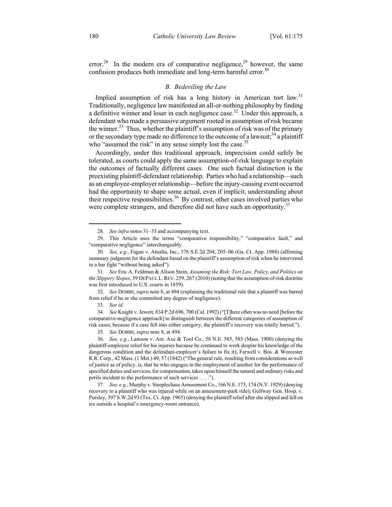error.<sup>28</sup> In the modern era of comparative negligence,<sup>29</sup> however, the same confusion produces both immediate and long-term harmful error.<sup>30</sup>

#### *B. Bedeviling the Law*

Implied assumption of risk has a long history in American tort law.<sup>31</sup> Traditionally, negligence law manifested an all-or-nothing philosophy by finding a definitive winner and loser in each negligence case.<sup>32</sup> Under this approach, a defendant who made a persuasive argument rooted in assumption of risk became the winner.<sup>33</sup> Thus, whether the plaintiff's assumption of risk was of the primary or the secondary type made no difference to the outcome of a lawsuit;  $34$  a plaintiff who "assumed the risk" in any sense simply lost the case.<sup>35</sup>

Accordingly, under this traditional approach, imprecision could safely be tolerated, as courts could apply the same assumption-of-risk language to explain the outcomes of factually different cases. One such factual distinction is the preexisting plaintiff-defendant relationship. Parties who had a relationship—such as an employee-employer relationship—before the injury-causing event occurred had the opportunity to shape some actual, even if implicit, understanding about their respective responsibilities.<sup>36</sup> By contrast, other cases involved parties who were complete strangers, and therefore did not have such an opportunity.<sup>37</sup>

32*. See* DOBBS, *supra* note 8, at 494 (explaining the traditional rule that a plaintiff was barred from relief if he or she committed any degree of negligence).

34*. See* Knight v. Jewett, 834 P.2d 696, 700 (Cal. 1992) ("[T]here often was no need [before the comparative-negligence approach] to distinguish between the different categories of assumption of risk cases, because if a case fell into either category, the plaintiff's recovery was totally barred.").

 <sup>28</sup>*. See infra* notes 31–35 and accompanying text.

 <sup>29.</sup> This Article uses the terms "comparative responsibility," "comparative fault," and "comparative negligence" interchangeably.

<sup>30</sup>*. See, e.g.*, Fagan v. Atnalta, Inc., 376 S.E.2d 204, 205–06 (Ga. Ct. App. 1988) (affirming summary judgment for the defendant based on the plaintiff's assumption of risk when he intervened in a bar fight "without being asked").

<sup>31</sup>*. See* Eric A. Feldman & Alison Stein, *Assuming the Risk: Tort Law, Policy, and Politics on the Slippery Slopes*, 59 DEPAUL L.REV. 259, 267 (2010) (noting that the assumption-of-risk doctrine was first introduced to U.S. courts in 1859).

<sup>33</sup>*. See id.*

<sup>35</sup>*. See* DOBBS, *supra* note 8, at 494.

<sup>36</sup>*. See, e.g.*, Lamson v. Am. Axe & Tool Co., 58 N.E. 585, 585 (Mass. 1900) (denying the plaintiff-employee relief for his injuries because he continued to work despite his knowledge of the dangerous condition and the defendant-employer's failure to fix it); Farwell v. Bos. & Worcester R.R. Corp., 42 Mass. (1 Met.) 49, 57 (1842) ("The general rule, resulting from considerations as well of justice as of policy, is, that he who engages in the employment of another for the performance of specified duties and services, for compensation, takes upon himself the natural and ordinary risks and perils incident to the performance of such services . . . .").

<sup>37</sup>*. See, e.g.*, Murphy v. Steeplechase Amusement Co., 166 N.E. 173, 174 (N.Y. 1929) (denying recovery to a plaintiff who was injured while on an amusement-park ride); Gulfway Gen. Hosp. v. Pursley, 397 S.W.2d 93 (Tex. Ct. App. 1965) (denying the plaintiff relief after she slipped and fell on ice outside a hospital's emergency-room entrance).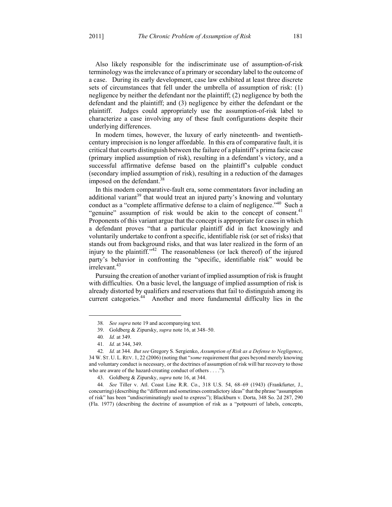Also likely responsible for the indiscriminate use of assumption-of-risk terminology was the irrelevance of a primary or secondary label to the outcome of a case. During its early development, case law exhibited at least three discrete sets of circumstances that fell under the umbrella of assumption of risk: (1) negligence by neither the defendant nor the plaintiff; (2) negligence by both the defendant and the plaintiff; and (3) negligence by either the defendant or the plaintiff. Judges could appropriately use the assumption-of-risk label to characterize a case involving any of these fault configurations despite their underlying differences.

In modern times, however, the luxury of early nineteenth- and twentiethcentury imprecision is no longer affordable. In this era of comparative fault, it is critical that courts distinguish between the failure of a plaintiff's prima facie case (primary implied assumption of risk), resulting in a defendant's victory, and a successful affirmative defense based on the plaintiff's culpable conduct (secondary implied assumption of risk), resulting in a reduction of the damages imposed on the defendant.<sup>38</sup>

In this modern comparative-fault era, some commentators favor including an additional variant<sup>39</sup> that would treat an injured party's knowing and voluntary conduct as a "complete affirmative defense to a claim of negligence."<sup>40</sup> Such a "genuine" assumption of risk would be akin to the concept of consent.<sup>41</sup> Proponents of this variant argue that the concept is appropriate for cases in which a defendant proves "that a particular plaintiff did in fact knowingly and voluntarily undertake to confront a specific, identifiable risk (or set of risks) that stands out from background risks, and that was later realized in the form of an injury to the plaintiff."<sup>42</sup> The reasonableness (or lack thereof) of the injured party's behavior in confronting the "specific, identifiable risk" would be irrelevant.<sup>43</sup>

Pursuing the creation of another variant of implied assumption of risk is fraught with difficulties. On a basic level, the language of implied assumption of risk is already distorted by qualifiers and reservations that fail to distinguish among its current categories.<sup>44</sup> Another and more fundamental difficulty lies in the

 <sup>38</sup>*. See supra* note 19 and accompanying text.

 <sup>39.</sup> Goldberg & Zipursky, *supra* note 16, at 348–50.

<sup>40</sup>*. Id.* at 349.

<sup>41</sup>*. Id.* at 344, 349.

<sup>42</sup>*. Id.* at 344. *But see* Gregory S. Sergienko, *Assumption of Risk as a Defense to Negligence*, 34 W. ST. U. L. REV. 1, 22 (2006) (noting that "*some* requirement that goes beyond merely knowing and voluntary conduct is necessary, or the doctrines of assumption of risk will bar recovery to those who are aware of the hazard-creating conduct of others . . . .").

 <sup>43.</sup> Goldberg & Zipursky, *supra* note 16, at 344.

<sup>44</sup>*. See* Tiller v. Atl. Coast Line R.R. Co., 318 U.S. 54, 68–69 (1943) (Frankfurter, J., concurring) (describing the "different and sometimes contradictory ideas" that the phrase "assumption of risk" has been "undiscriminatingly used to express"); Blackburn v. Dorta, 348 So. 2d 287, 290 (Fla. 1977) (describing the doctrine of assumption of risk as a "potpourri of labels, concepts,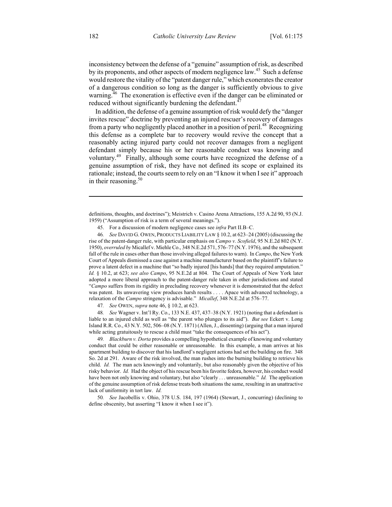inconsistency between the defense of a "genuine" assumption of risk, as described by its proponents, and other aspects of modern negligence law.<sup>45</sup> Such a defense would restore the vitality of the "patent danger rule," which exonerates the creator of a dangerous condition so long as the danger is sufficiently obvious to give warning.<sup>46</sup> The exoneration is effective even if the danger can be eliminated or reduced without significantly burdening the defendant. $^{47}$ 

In addition, the defense of a genuine assumption of risk would defy the "danger invites rescue" doctrine by preventing an injured rescuer's recovery of damages from a party who negligently placed another in a position of peril.<sup>48</sup> Recognizing this defense as a complete bar to recovery would revive the concept that a reasonably acting injured party could not recover damages from a negligent defendant simply because his or her reasonable conduct was knowing and voluntary.<sup>49</sup> Finally, although some courts have recognized the defense of a genuine assumption of risk, they have not defined its scope or explained its rationale; instead, the courts seem to rely on an "I know it when I see it" approach in their reasoning. $50$ 

46*. See* DAVID G. OWEN, PRODUCTS LIABILITY LAW § 10.2, at 623–24 (2005) (discussing the rise of the patent-danger rule, with particular emphasis on *Campo v. Scofield*, 95 N.E.2d 802 (N.Y. 1950), *overruled by* Micallef v. Miehle Co., 348 N.E.2d 571, 576–77 (N.Y. 1976), and the subsequent fall of the rule in cases other than those involving alleged failures to warn). In *Campo*, the New York Court of Appeals dismissed a case against a machine manufacturer based on the plaintiff's failure to prove a latent defect in a machine that "so badly injured [his hands] that they required amputation." *Id.* § 10.2, at 623; *see also Campo*, 95 N.E.2d at 804. The Court of Appeals of New York later adopted a more liberal approach to the patent-danger rule taken in other jurisdictions and stated "*Campo* suffers from its rigidity in precluding recovery whenever it is demonstrated that the defect was patent. Its unwavering view produces harsh results . . . . Apace with advanced technology, a relaxation of the *Campo* stringency is advisable." *Micallef*, 348 N.E.2d at 576–77.

47*. See* OWEN, *supra* note 46, § 10.2, at 623.

48*. See* Wagner v. Int'l Ry. Co., 133 N.E. 437, 437–38 (N.Y. 1921) (noting that a defendant is liable to an injured child as well as "the parent who plunges to its aid"). *But see* Eckert v. Long Island R.R. Co., 43 N.Y. 502, 506–08 (N.Y. 1871) (Allen, J., dissenting) (arguing that a man injured while acting gratuitously to rescue a child must "take the consequences of his act").

49*. Blackburn v. Dorta* provides a compelling hypothetical example of knowing and voluntary conduct that could be either reasonable or unreasonable. In this example, a man arrives at his apartment building to discover that his landlord's negligent actions had set the building on fire. 348 So. 2d at 291. Aware of the risk involved, the man rushes into the burning building to retrieve his child. *Id.* The man acts knowingly and voluntarily, but also reasonably given the objective of his risky behavior. *Id.* Had the object of his rescue been his favorite fedora, however, his conduct would have been not only knowing and voluntary, but also "clearly . . . unreasonable." *Id.* The application of the genuine assumption of risk defense treats both situations the same, resulting in an unattractive lack of uniformity in tort law. *Id.*

50*. See* Jacobellis v. Ohio, 378 U.S. 184, 197 (1964) (Stewart, J., concurring) (declining to define obscenity, but asserting "I know it when I see it").

 $\overline{a}$ 

definitions, thoughts, and doctrines"); Meistrich v. Casino Arena Attractions, 155 A.2d 90, 93 (N.J. 1959) ("Assumption of risk is a term of several meanings.").

 <sup>45.</sup> For a discussion of modern negligence cases see *infra* Part II.B–C.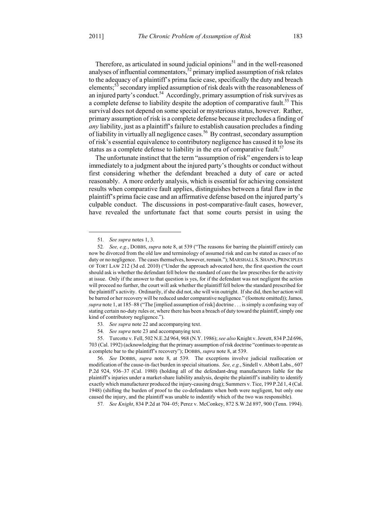Therefore, as articulated in sound judicial opinions<sup>51</sup> and in the well-reasoned analyses of influential commentators,  $52$  primary implied assumption of risk relates to the adequacy of a plaintiff's prima facie case, specifically the duty and breach elements;<sup>53</sup> secondary implied assumption of risk deals with the reasonableness of an injured party's conduct.<sup>54</sup> Accordingly, primary assumption of risk survives as a complete defense to liability despite the adoption of comparative fault.<sup>55</sup> This survival does not depend on some special or mysterious status, however. Rather, primary assumption of risk is a complete defense because it precludes a finding of *any* liability, just as a plaintiff's failure to establish causation precludes a finding of liability in virtually all negligence cases.<sup>56</sup> By contrast, secondary assumption of risk's essential equivalence to contributory negligence has caused it to lose its status as a complete defense to liability in the era of comparative fault.<sup>57</sup>

The unfortunate instinct that the term "assumption of risk" engenders is to leap immediately to a judgment about the injured party's thoughts or conduct without first considering whether the defendant breached a duty of care or acted reasonably. A more orderly analysis, which is essential for achieving consistent results when comparative fault applies, distinguishes between a fatal flaw in the plaintiff's prima facie case and an affirmative defense based on the injured party's culpable conduct. The discussions in post-comparative-fault cases, however, have revealed the unfortunate fact that some courts persist in using the

- 53*. See supra* note 22 and accompanying text.
- 54*. See supra* note 23 and accompanying text.

57*. See Knight*, 834 P.2d at 704–05; Perez v. McConkey, 872 S.W.2d 897, 900 (Tenn. 1994).

 <sup>51</sup>*. See supra* notes 1, 3.

<sup>52</sup>*. See, e.g.*, DOBBS, *supra* note 8, at 539 ("The reasons for barring the plaintiff entirely can now be divorced from the old law and terminology of assumed risk and can be stated as cases of no duty or no negligence. The cases themselves, however, remain."); MARSHALL S. SHAPO, PRINCIPLES OF TORT LAW 212 (3d ed. 2010) ("Under the approach advocated here, the first question the court should ask is whether the defendant fell below the standard of care the law prescribes for the activity at issue. Only if the answer to that question is yes, for if the defendant was not negligent the action will proceed no further, the court will ask whether the plaintiff fell below the standard prescribed for the plaintiff's activity. Ordinarily, if she did not, she will win outright. If she did, then her action will be barred or her recovery will be reduced under comparative negligence." (footnote omitted)); James, *supra* note 1, at 185–88 ("The [implied assumption of risk] doctrine . . . is simply a confusing way of stating certain no-duty rules or, where there has been a breach of duty toward the plaintiff, simply one kind of contributory negligence.").

 <sup>55.</sup> Turcotte v. Fell, 502 N.E.2d 964, 968 (N.Y. 1986); *see also* Knight v. Jewett, 834 P.2d 696, 703 (Cal. 1992) (acknowledging that the primary assumption of risk doctrine "continues to operate as a complete bar to the plaintiff's recovery"); DOBBS, *supra* note 8, at 539.

<sup>56</sup>*. See* DOBBS, *supra* note 8, at 539. The exceptions involve judicial reallocation or modification of the cause-in-fact burden in special situations. *See, e.g.*, Sindell v. Abbott Labs., 607 P.2d 924, 936–37 (Cal. 1980) (holding all of the defendant-drug manufacturers liable for the plaintiff's injuries under a market-share liability analysis, despite the plaintiff's inability to identify exactly which manufacturer produced the injury-causing drug); Summers v. Tice, 199 P.2d 1, 4 (Cal. 1948) (shifting the burden of proof to the co-defendants when both were negligent, but only one caused the injury, and the plaintiff was unable to indentify which of the two was responsible).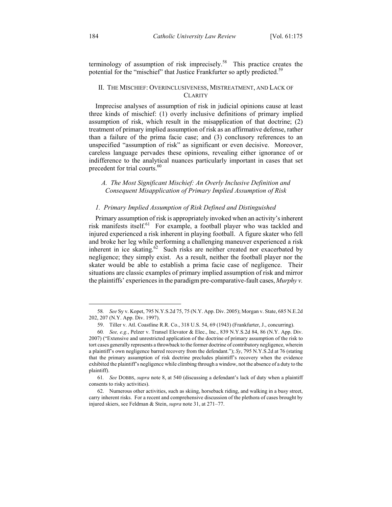terminology of assumption of risk imprecisely.<sup>58</sup> This practice creates the potential for the "mischief" that Justice Frankfurter so aptly predicted.<sup>59</sup>

#### II. THE MISCHIEF: OVERINCLUSIVENESS, MISTREATMENT, AND LACK OF **CLARITY**

Imprecise analyses of assumption of risk in judicial opinions cause at least three kinds of mischief: (1) overly inclusive definitions of primary implied assumption of risk, which result in the misapplication of that doctrine; (2) treatment of primary implied assumption of risk as an affirmative defense, rather than a failure of the prima facie case; and (3) conclusory references to an unspecified "assumption of risk" as significant or even decisive. Moreover, careless language pervades these opinions, revealing either ignorance of or indifference to the analytical nuances particularly important in cases that set precedent for trial courts.<sup>60</sup>

### *A. The Most Significant Mischief: An Overly Inclusive Definition and Consequent Misapplication of Primary Implied Assumption of Risk*

#### *1. Primary Implied Assumption of Risk Defined and Distinguished*

Primary assumption of risk is appropriately invoked when an activity's inherent risk manifests itself.<sup>61</sup> For example, a football player who was tackled and injured experienced a risk inherent in playing football. A figure skater who fell and broke her leg while performing a challenging maneuver experienced a risk inherent in ice skating.<sup>62</sup> Such risks are neither created nor exacerbated by negligence; they simply exist. As a result, neither the football player nor the skater would be able to establish a prima facie case of negligence. Their situations are classic examples of primary implied assumption of risk and mirror the plaintiffs' experiences in the paradigm pre-comparative-fault cases, *Murphy v.* 

 <sup>58</sup>*. See* Sy v. Kopet, 795 N.Y.S.2d 75, 75 (N.Y. App. Div. 2005); Morgan v. State, 685 N.E.2d 202, 207 (N.Y. App. Div. 1997).

 <sup>59.</sup> Tiller v. Atl. Coastline R.R. Co., 318 U.S. 54, 69 (1943) (Frankfurter, J., concurring).

<sup>60</sup>*. See, e.g.*, Pelzer v. Transel Elevator & Elec., Inc., 839 N.Y.S.2d 84, 86 (N.Y. App. Div. 2007) ("Extensive and unrestricted application of the doctrine of primary assumption of the risk to tort cases generally represents a throwback to the former doctrine of contributory negligence, wherein a plaintiff's own negligence barred recovery from the defendant."); *Sy*, 795 N.Y.S.2d at 76 (stating that the primary assumption of risk doctrine precludes plaintiff's recovery when the evidence exhibited the plaintiff's negligence while climbing through a window, not the absence of a duty to the plaintiff).

<sup>61</sup>*. See* DOBBS, *supra* note 8, at 540 (discussing a defendant's lack of duty when a plaintiff consents to risky activities).

 <sup>62.</sup> Numerous other activities, such as skiing, horseback riding, and walking in a busy street, carry inherent risks. For a recent and comprehensive discussion of the plethora of cases brought by injured skiers, see Feldman & Stein, *supra* note 31, at 271–77.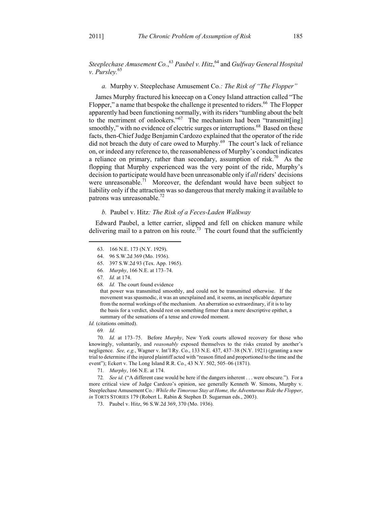Steeplechase Amusement Co.,<sup>63</sup> Paubel v. Hitz,<sup>64</sup> and *Gulfway General Hospital v. Pursley.*65

*a.* Murphy v. Steeplechase Amusement Co*.: The Risk of "The Flopper"* 

James Murphy fractured his kneecap on a Coney Island attraction called "The Flopper," a name that bespoke the challenge it presented to riders.<sup>66</sup> The Flopper apparently had been functioning normally, with its riders "tumbling about the belt to the merriment of onlookers." $67$  The mechanism had been "transmitt[ing] smoothly," with no evidence of electric surges or interruptions.<sup>68</sup> Based on these facts, then-Chief Judge Benjamin Cardozo explained that the operator of the ride did not breach the duty of care owed to Murphy.<sup>69</sup> The court's lack of reliance on, or indeed any reference to, the reasonableness of Murphy's conduct indicates a reliance on primary, rather than secondary, assumption of risk.<sup>70</sup> As the flopping that Murphy experienced was the very point of the ride, Murphy's decision to participate would have been unreasonable only if *all* riders' decisions were unreasonable.<sup>71</sup> Moreover, the defendant would have been subject to liability only if the attraction was so dangerous that merely making it available to patrons was unreasonable. $^{72}$ 

#### *b.* Paubel v. Hitz*: The Risk of a Feces-Laden Walkway*

Edward Paubel, a letter carrier, slipped and fell on chicken manure while delivering mail to a patron on his route.<sup>73</sup> The court found that the sufficiently

1

68*. Id.* The court found evidence

that power was transmitted smoothly, and could not be transmitted otherwise. If the movement was spasmodic, it was an unexplained and, it seems, an inexplicable departure from the normal workings of the mechanism. An aberration so extraordinary, if it is to lay the basis for a verdict, should rest on something firmer than a mere descriptive epithet, a summary of the sensations of a tense and crowded moment.

*Id.* (citations omitted).

69*. Id.*

70*. Id.* at 173–75. Before *Murphy*, New York courts allowed recovery for those who knowingly, voluntarily, and *reasonably* exposed themselves to the risks created by another's negligence. *See, e.g.*, Wagner v. Int'l Ry. Co., 133 N.E. 437, 437–38 (N.Y. 1921) (granting a new trial to determine if the injured plaintiff acted with "reason fitted and proportioned to the time and the event"); Eckert v. The Long Island R.R. Co., 43 N.Y. 502, 505–06 (1871).

71*. Murphy*, 166 N.E. at 174.

72*. See id.* ("A different case would be here if the dangers inherent . . . were obscure."). For a more critical view of Judge Cardozo's opinion, see generally Kenneth W. Simons, Murphy v. Steeplechase Amusement Co.*: While the Timorous Stay at Home, the Adventurous Ride the Flopper*, *in* TORTS STORIES 179 (Robert L. Rabin & Stephen D. Sugarman eds., 2003).

73. Paubel v. Hitz, 96 S.W.2d 369, 370 (Mo. 1936).

 <sup>63. 166</sup> N.E. 173 (N.Y. 1929).

 <sup>64. 96</sup> S.W.2d 369 (Mo. 1936).

 <sup>65. 397</sup> S.W.2d 93 (Tex. App. 1965).

<sup>66</sup>*. Murphy*, 166 N.E. at 173–74.

<sup>67</sup>*. Id.* at 174.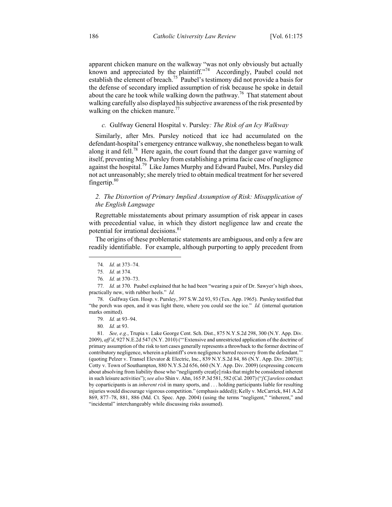apparent chicken manure on the walkway "was not only obviously but actually known and appreciated by the plaintiff."<sup>74</sup> Accordingly, Paubel could not establish the element of breach.<sup>75</sup> Paubel's testimony did not provide a basis for the defense of secondary implied assumption of risk because he spoke in detail about the care he took while walking down the pathway.<sup>76</sup> That statement about walking carefully also displayed his subjective awareness of the risk presented by walking on the chicken manure.<sup>77</sup>

#### *c.* Gulfway General Hospital v. Pursley*: The Risk of an Icy Walkway*

Similarly, after Mrs. Pursley noticed that ice had accumulated on the defendant-hospital's emergency entrance walkway, she nonetheless began to walk along it and fell.<sup>78</sup> Here again, the court found that the danger gave warning of itself, preventing Mrs. Pursley from establishing a prima facie case of negligence against the hospital.<sup>79</sup> Like James Murphy and Edward Paubel, Mrs. Pursley did not act unreasonably; she merely tried to obtain medical treatment for her severed fingertip.<sup>80</sup>

### *2. The Distortion of Primary Implied Assumption of Risk: Misapplication of the English Language*

Regrettable misstatements about primary assumption of risk appear in cases with precedential value, in which they distort negligence law and create the potential for irrational decisions.<sup>81</sup>

The origins of these problematic statements are ambiguous, and only a few are readily identifiable. For example, although purporting to apply precedent from

79*. Id.* at 93–94.

 <sup>74</sup>*. Id.* at 373–74.

<sup>75</sup>*. Id.* at 374.

<sup>76</sup>*. Id.* at 370–73.

<sup>77</sup>*. Id.* at 370. Paubel explained that he had been "wearing a pair of Dr. Sawyer's high shoes, practically new, with rubber heels." *Id.*

 <sup>78.</sup> Gulfway Gen. Hosp. v. Pursley, 397 S.W.2d 93, 93 (Tex. App. 1965). Pursley testified that "the porch was open, and it was light there, where you could see the ice." *Id.* (internal quotation marks omitted).

<sup>80</sup>*. Id.* at 93.

<sup>81</sup>*. See, e.g.*, Trupia v. Lake George Cent. Sch. Dist., 875 N.Y.S.2d 298, 300 (N.Y. App. Div. 2009), *aff'd*, 927 N.E.2d 547 (N.Y. 2010) ("'Extensive and unrestricted application of the doctrine of primary assumption of the risk to tort cases generally represents a throwback to the former doctrine of contributory negligence, wherein a plaintiff's own negligence barred recovery from the defendant.'" (quoting Pelzer v. Transel Elevator & Electric, Inc., 839 N.Y.S.2d 84, 86 (N.Y. App. Div. 2007))); Cotty v. Town of Southampton, 880 N.Y.S.2d 656, 660 (N.Y. App. Div. 2009) (expressing concern about absolving from liability those who "negligently creat[e] risks that might be considered inherent in such leisure activities"); *see also* Shin v. Ahn, 165 P.3d 581, 582 (Cal. 2007) ("*[C]areless* conduct by coparticipants is an *inherent risk* in many sports, and . . . holding participants liable for resulting injuries would discourage vigorous competition." (emphasis added)); Kelly v. McCarrick, 841 A.2d 869, 877–78, 881, 886 (Md. Ct. Spec. App. 2004) (using the terms "negligent," "inherent," and "incidental" interchangeably while discussing risks assumed).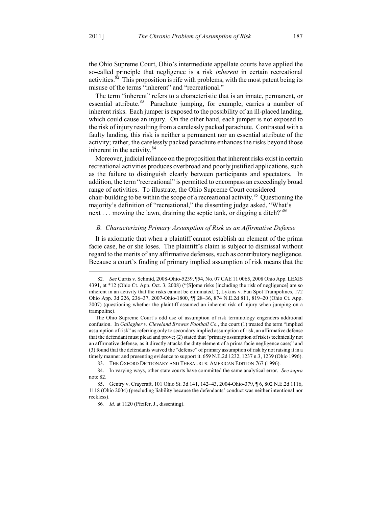the Ohio Supreme Court, Ohio's intermediate appellate courts have applied the so-called principle that negligence is a risk *inherent* in certain recreational activities. $82$  This proposition is rife with problems, with the most patent being its misuse of the terms "inherent" and "recreational."

The term "inherent" refers to a characteristic that is an innate, permanent, or essential attribute.<sup>83</sup> Parachute jumping, for example, carries a number of inherent risks. Each jumper is exposed to the possibility of an ill-placed landing, which could cause an injury. On the other hand, each jumper is not exposed to the risk of injury resulting from a carelessly packed parachute. Contrasted with a faulty landing, this risk is neither a permanent nor an essential attribute of the activity; rather, the carelessly packed parachute enhances the risks beyond those inherent in the activity. $84$ 

Moreover, judicial reliance on the proposition that inherent risks exist in certain recreational activities produces overbroad and poorly justified applications, such as the failure to distinguish clearly between participants and spectators. In addition, the term "recreational" is permitted to encompass an exceedingly broad range of activities. To illustrate, the Ohio Supreme Court considered chair-building to be within the scope of a recreational activity.<sup>85</sup> Questioning the majority's definition of "recreational," the dissenting judge asked, "What's next . . . mowing the lawn, draining the septic tank, or digging a ditch?"<sup>86</sup>

#### *B. Characterizing Primary Assumption of Risk as an Affirmative Defense*

It is axiomatic that when a plaintiff cannot establish an element of the prima facie case, he or she loses. The plaintiff's claim is subject to dismissal without regard to the merits of any affirmative defenses, such as contributory negligence. Because a court's finding of primary implied assumption of risk means that the

 <sup>82</sup>*. See* Curtis v. Schmid, 2008-Ohio-5239, ¶54, No. 07 CAE 11 0065, 2008 Ohio App. LEXIS 4391, at \*12 (Ohio Ct. App. Oct. 3, 2008) ("[S]ome risks [including the risk of negligence] are so inherent in an activity that the risks cannot be eliminated."); Lykins v. Fun Spot Trampolines, 172 Ohio App. 3d 226, 236–37, 2007-Ohio-1800, ¶¶ 28–36, 874 N.E.2d 811, 819–20 (Ohio Ct. App. 2007) (questioning whether the plaintiff assumed an inherent risk of injury when jumping on a trampoline).

The Ohio Supreme Court's odd use of assumption of risk terminology engenders additional confusion. In *Gallagher v. Cleveland Browns Football Co.*, the court (1) treated the term "implied assumption of risk" as referring only to secondary implied assumption of risk, an affirmative defense that the defendant must plead and prove; (2) stated that "primary assumption of risk is technically not an affirmative defense, as it directly attacks the duty element of a prima facie negligence case;" and (3) found that the defendants waived the "defense" of primary assumption of risk by not raising it in a timely manner and presenting evidence to support it. 659 N.E.2d 1232, 1237 n.3, 1239 (Ohio 1996).

 <sup>83.</sup> THE OXFORD DICTIONARY AND THESAURUS: AMERICAN EDITION 767 (1996).

 <sup>84.</sup> In varying ways, other state courts have committed the same analytical error. *See supra* note 82.

 <sup>85.</sup> Gentry v. Craycraft, 101 Ohio St. 3d 141, 142–43, 2004-Ohio-379, ¶ 6, 802 N.E.2d 1116, 1118 (Ohio 2004) (precluding liability because the defendants' conduct was neither intentional nor reckless).

<sup>86</sup>*. Id.* at 1120 (Pfeifer, J., dissenting).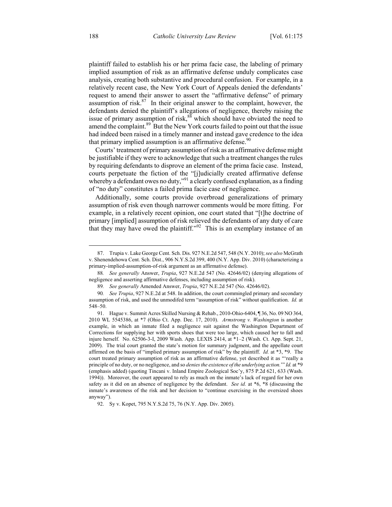plaintiff failed to establish his or her prima facie case, the labeling of primary implied assumption of risk as an affirmative defense unduly complicates case analysis, creating both substantive and procedural confusion. For example, in a relatively recent case, the New York Court of Appeals denied the defendants' request to amend their answer to assert the "affirmative defense" of primary assumption of risk. $87$  In their original answer to the complaint, however, the defendants denied the plaintiff's allegations of negligence, thereby raising the issue of primary assumption of risk,<sup>88</sup> which should have obviated the need to amend the complaint.<sup>89</sup> But the New York courts failed to point out that the issue had indeed been raised in a timely manner and instead gave credence to the idea that primary implied assumption is an affirmative defense.  $90$ 

Courts' treatment of primary assumption of risk as an affirmative defense might be justifiable if they were to acknowledge that such a treatment changes the rules by requiring defendants to disprove an element of the prima facie case. Instead, courts perpetuate the fiction of the "[j]udicially created affirmative defense whereby a defendant owes no duty,"<sup>91</sup> a clearly confused explanation, as a finding of "no duty" constitutes a failed prima facie case of negligence.

Additionally, some courts provide overbroad generalizations of primary assumption of risk even though narrower comments would be more fitting. For example, in a relatively recent opinion, one court stated that "[t]he doctrine of primary [implied] assumption of risk relieved the defendants of any duty of care that they may have owed the plaintiff."92 This is an exemplary instance of an

 <sup>87.</sup> Trupia v. Lake George Cent. Sch. Dis. 927 N.E.2d 547, 548 (N.Y. 2010); *see also* McGrath v. Shenendehowa Cent. Sch. Dist., 906 N.Y.S.2d 399, 400 (N.Y. App. Div. 2010) (characterizing a primary-implied-assumption-of-risk argument as an affirmative defense).

<sup>88</sup>*. See generally* Answer, *Trupia*, 927 N.E.2d 547 (No. 42646/02) (denying allegations of negligence and asserting affirmative defenses, including assumption of risk).

<sup>89</sup>*. See generally* Amended Answer, *Trupia*, 927 N.E.2d 547 (No. 42646/02).

<sup>90</sup>*. See Trupia*, 927 N.E.2d at 548. In addition, the court commingled primary and secondary assumption of risk, and used the unmodifed term "assumption of risk" without qualification. *Id.* at 548–50.

 <sup>91.</sup> Hague v. Summit Acres Skilled Nursing & Rehab., 2010-Ohio-6404, ¶ 36, No. 09 NO 364, 2010 WL 5545386, at \*7 (Ohio Ct. App. Dec. 17, 2010). *Armstrong v. Washington* is another example, in which an inmate filed a negligence suit against the Washington Department of Corrections for supplying her with sports shoes that were too large, which caused her to fall and injure herself. No. 62506-3-I, 2009 Wash. App. LEXIS 2414, at \*1–2 (Wash. Ct. App. Sept. 21, 2009). The trial court granted the state's motion for summary judgment, and the appellate court affirmed on the basis of "implied primary assumption of risk" by the plaintiff. *Id.* at \*3, \*9. The court treated primary assumption of risk as an affirmative defense, yet described it as "'really a principle of no duty, or no negligence, and so *denies the existence of the underlying action.*'" *Id.* at \*9 (emphasis added) (quoting Tincani v. Inland Empire Zoological Soc'y, 875 P.2d 621, 633 (Wash. 1994)). Moreover, the court appeared to rely as much on the inmate's lack of regard for her own safety as it did on an absence of negligence by the defendant. *See id.* at \*6, \*8 (discussing the inmate's awareness of the risk and her decision to "continue exercising in the oversized shoes anyway").

 <sup>92.</sup> Sy v. Kopet, 795 N.Y.S.2d 75, 76 (N.Y. App. Div. 2005).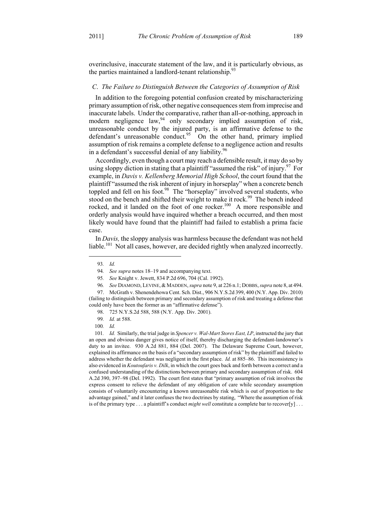overinclusive, inaccurate statement of the law, and it is particularly obvious, as the parties maintained a landlord-tenant relationship. $^{93}$ 

#### *C*. *The Failure to Distinguish Between the Categories of Assumption of Risk*

In addition to the foregoing potential confusion created by mischaracterizing primary assumption of risk, other negative consequences stem from imprecise and inaccurate labels. Under the comparative, rather than all-or-nothing, approach in modern negligence law, $94$  only secondary implied assumption of risk, unreasonable conduct by the injured party, is an affirmative defense to the defendant's unreasonable conduct.<sup>95</sup> On the other hand, primary implied assumption of risk remains a complete defense to a negligence action and results in a defendant's successful denial of any liability.<sup>96</sup>

Accordingly, even though a court may reach a defensible result, it may do so by using sloppy diction in stating that a plaintiff "assumed the risk" of injury.<sup>97</sup> For example, in *Davis v. Kellenberg Memorial High School*, the court found that the plaintiff "assumed the risk inherent of injury in horseplay" when a concrete bench toppled and fell on his foot.<sup>98</sup> The "horseplay" involved several students, who stood on the bench and shifted their weight to make it rock.<sup>99</sup> The bench indeed rocked, and it landed on the foot of one rocker.<sup>100</sup> A more responsible and orderly analysis would have inquired whether a breach occurred, and then most likely would have found that the plaintiff had failed to establish a prima facie case.

In *Davis,* the sloppy analysis was harmless because the defendant was not held liable.<sup>101</sup> Not all cases, however, are decided rightly when analyzed incorrectly.

 <sup>93</sup>*. Id.* 

<sup>94</sup>*. See supra* notes 18–19 and accompanying text.

<sup>95</sup>*. See* Knight v. Jewett, 834 P.2d 696, 704 (Cal. 1992).

<sup>96</sup>*. See* DIAMOND, LEVINE,& MADDEN, *supra* note 9, at 226 n.1; DOBBS, *supra* note 8, at 494.

 <sup>97.</sup> McGrath v. Shenendehowa Cent. Sch. Dist., 906 N.Y.S.2d 399, 400 (N.Y. App. Div. 2010) (failing to distinguish between primary and secondary assumption of risk and treating a defense that could only have been the former as an "affirmative defense").

 <sup>98. 725</sup> N.Y.S.2d 588, 588 (N.Y. App. Div. 2001).

<sup>99</sup>*. Id.* at 588.

<sup>100</sup>*. Id.*

<sup>101</sup>*. Id.* Similarly, the trial judge in *Spencer v. Wal-Mart Stores East, LP*, instructed the jury that an open and obvious danger gives notice of itself, thereby discharging the defendant-landowner's duty to an invitee. 930 A.2d 881, 884 (Del. 2007). The Delaware Supreme Court, however, explained its affirmance on the basis of a "secondary assumption of risk" by the plaintiff and failed to address whether the defendant was negligent in the first place. *Id.* at 885–86. This inconsistency is also evidenced in *Koutoufaris v. Dilk*, in which the court goes back and forth between a correct and a confused understanding of the distinctions between primary and secondary assumption of risk. 604 A.2d 390, 397–98 (Del. 1992). The court first states that "primary assumption of risk involves the express consent to relieve the defendant of any obligation of care while secondary assumption consists of voluntarily encountering a known unreasonable risk which is out of proportion to the advantage gained," and it later confuses the two doctrines by stating, "Where the assumption of risk is of the primary type  $\dots$  a plaintiff's conduct *might well* constitute a complete bar to recover[y]  $\dots$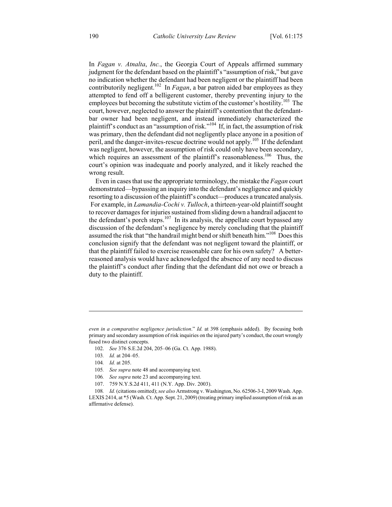In *Fagan v. Atnalta*, *Inc.*, the Georgia Court of Appeals affirmed summary judgment for the defendant based on the plaintiff's "assumption of risk," but gave no indication whether the defendant had been negligent or the plaintiff had been contributorily negligent.<sup>102</sup> In *Fagan*, a bar patron aided bar employees as they attempted to fend off a belligerent customer, thereby preventing injury to the employees but becoming the substitute victim of the customer's hostility.<sup>103</sup> The court, however, neglected to answer the plaintiff's contention that the defendantbar owner had been negligent, and instead immediately characterized the plaintiff's conduct as an "assumption of risk."<sup>104</sup> If, in fact, the assumption of risk was primary, then the defendant did not negligently place anyone in a position of peril, and the danger-invites-rescue doctrine would not apply.<sup>105</sup> If the defendant was negligent, however, the assumption of risk could only have been secondary, which requires an assessment of the plaintiff's reasonableness.<sup>106</sup> Thus, the court's opinion was inadequate and poorly analyzed, and it likely reached the wrong result.

Even in cases that use the appropriate terminology, the mistake the *Fagan* court demonstrated—bypassing an inquiry into the defendant's negligence and quickly resorting to a discussion of the plaintiff's conduct—produces a truncated analysis. For example, in *Lamandia-Cochi v. Tulloch*, a thirteen-year-old plaintiff sought to recover damages for injuries sustained from sliding down a handrail adjacent to the defendant's porch steps. $107$  In its analysis, the appellate court bypassed any discussion of the defendant's negligence by merely concluding that the plaintiff assumed the risk that "the handrail might bend or shift beneath him."<sup>108</sup> Does this conclusion signify that the defendant was not negligent toward the plaintiff, or that the plaintiff failed to exercise reasonable care for his own safety? A betterreasoned analysis would have acknowledged the absence of any need to discuss the plaintiff's conduct after finding that the defendant did not owe or breach a duty to the plaintiff.

102. *See* 376 S.E.2d 204, 205–06 (Ga. Ct. App. 1988).

 $\overline{a}$ 

107. 759 N.Y.S.2d 411, 411 (N.Y. App. Div. 2003).

108*. Id.* (citations omitted); *see also* Armstrong v. Washington, No. 62506-3-I, 2009 Wash. App. LEXIS 2414, at \*5 (Wash. Ct. App. Sept. 21, 2009) (treating primary implied assumption of risk as an affirmative defense).

*even in a comparative negligence jurisdiction*." *Id.* at 398 (emphasis added). By focusing both primary and secondary assumption of risk inquiries on the injured party's conduct, the court wrongly fused two distinct concepts.

<sup>103</sup>*. Id.* at 204–05.

<sup>104</sup>*. Id.* at 205.

<sup>105</sup>*. See supra* note 48 and accompanying text.

<sup>106</sup>*. See supra* note 23 and accompanying text.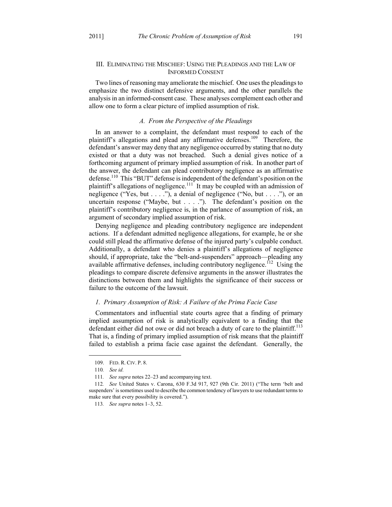#### III. ELIMINATING THE MISCHIEF: USING THE PLEADINGS AND THE LAW OF INFORMED CONSENT

Two lines of reasoning may ameliorate the mischief. One uses the pleadings to emphasize the two distinct defensive arguments, and the other parallels the analysis in an informed-consent case. These analyses complement each other and allow one to form a clear picture of implied assumption of risk.

#### *A. From the Perspective of the Pleadings*

In an answer to a complaint, the defendant must respond to each of the plaintiff's allegations and plead any affirmative defenses.<sup>109</sup> Therefore, the defendant's answer may deny that any negligence occurred by stating that no duty existed or that a duty was not breached. Such a denial gives notice of a forthcoming argument of primary implied assumption of risk. In another part of the answer, the defendant can plead contributory negligence as an affirmative defense.<sup>110</sup> This "BUT" defense is independent of the defendant's position on the plaintiff's allegations of negligence.<sup>111</sup> It may be coupled with an admission of negligence ("Yes, but  $\dots$ "), a denial of negligence ("No, but  $\dots$ "), or an uncertain response ("Maybe, but . . . ."). The defendant's position on the plaintiff's contributory negligence is, in the parlance of assumption of risk, an argument of secondary implied assumption of risk.

Denying negligence and pleading contributory negligence are independent actions. If a defendant admitted negligence allegations, for example, he or she could still plead the affirmative defense of the injured party's culpable conduct. Additionally, a defendant who denies a plaintiff's allegations of negligence should, if appropriate, take the "belt-and-suspenders" approach—pleading any available affirmative defenses, including contributory negligence.<sup> $112$ </sup> Using the pleadings to compare discrete defensive arguments in the answer illustrates the distinctions between them and highlights the significance of their success or failure to the outcome of the lawsuit.

#### *1. Primary Assumption of Risk: A Failure of the Prima Facie Case*

Commentators and influential state courts agree that a finding of primary implied assumption of risk is analytically equivalent to a finding that the defendant either did not owe or did not breach a duty of care to the plaintiff.<sup>113</sup> That is, a finding of primary implied assumption of risk means that the plaintiff failed to establish a prima facie case against the defendant. Generally, the

 <sup>109.</sup> FED. R. CIV. P. 8.

<sup>110</sup>*. See id.* 

<sup>111</sup>*. See supra* notes 22–23 and accompanying text.

<sup>112</sup>*. See* United States v. Carona, 630 F.3d 917, 927 (9th Cir. 2011) ("The term 'belt and suspenders' is sometimes used to describe the common tendency of lawyers to use redundant terms to make sure that every possibility is covered.").

<sup>113</sup>*. See supra* notes 1–3, 52.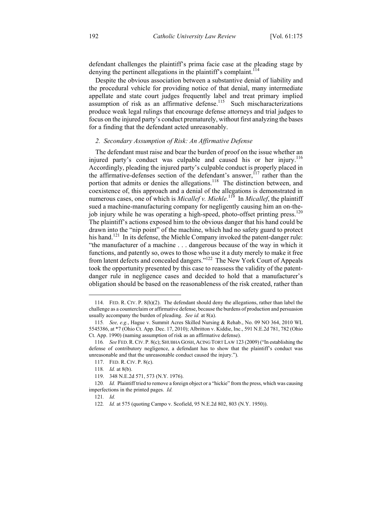defendant challenges the plaintiff's prima facie case at the pleading stage by denying the pertinent allegations in the plaintiff's complaint.<sup>114</sup>

Despite the obvious association between a substantive denial of liability and the procedural vehicle for providing notice of that denial, many intermediate appellate and state court judges frequently label and treat primary implied assumption of risk as an affirmative defense.<sup>115</sup> Such mischaracterizations produce weak legal rulings that encourage defense attorneys and trial judges to focus on the injured party's conduct prematurely, without first analyzing the bases for a finding that the defendant acted unreasonably.

#### *2. Secondary Assumption of Risk: An Affirmative Defense*

The defendant must raise and bear the burden of proof on the issue whether an injured party's conduct was culpable and caused his or her injury.<sup>116</sup> Accordingly, pleading the injured party's culpable conduct is properly placed in the affirmative-defenses section of the defendant's answer,  $117$  rather than the portion that admits or denies the allegations.<sup>118</sup> The distinction between, and coexistence of, this approach and a denial of the allegations is demonstrated in numerous cases, one of which is *Micallef v. Miehle*.<sup>119</sup> In *Micallef*, the plaintiff sued a machine-manufacturing company for negligently causing him an on-thejob injury while he was operating a high-speed, photo-offset printing press.<sup>120</sup> The plaintiff's actions exposed him to the obvious danger that his hand could be drawn into the "nip point" of the machine, which had no safety guard to protect his hand.<sup>121</sup> In its defense, the Miehle Company invoked the patent-danger rule: "the manufacturer of a machine . . . dangerous because of the way in which it functions, and patently so, owes to those who use it a duty merely to make it free from latent defects and concealed dangers."122 The New York Court of Appeals took the opportunity presented by this case to reassess the validity of the patentdanger rule in negligence cases and decided to hold that a manufacturer's obligation should be based on the reasonableness of the risk created, rather than

 <sup>114.</sup> FED. R. CIV. P. 8(h)(2). The defendant should deny the allegations, rather than label the challenge as a counterclaim or affirmative defense, because the burdens of production and persuasion usually accompany the burden of pleading. *See id.* at 8(a).

<sup>115</sup>*. See, e.g.*, Hague v. Summit Acres Skilled Nursing & Rehab., No. 09 NO 364, 2010 WL 5545386, at \*7 (Ohio Ct. App. Dec. 17, 2010); Albritton v. Kiddie, Inc., 591 N.E.2d 781, 782 (Ohio Ct. App. 1990) (naming assumption of risk as an affirmative defense).

<sup>116</sup>*. See* FED.R.CIV. P. 8(c); SHUBHA GOSH,ACING TORT LAW 123 (2009) ("In establishing the defense of contributory negligence, a defendant has to show that the plaintiff's conduct was unreasonable and that the unreasonable conduct caused the injury.").

 <sup>117.</sup> FED. R. CIV. P. 8(c).

<sup>118</sup>*. Id.* at 8(b).

 <sup>119. 348</sup> N.E.2d 571, 573 (N.Y. 1976).

<sup>120</sup>*. Id.* Plaintiff tried to remove a foreign object or a "hickie" from the press, which was causing imperfections in the printed pages. *Id.*

<sup>121</sup>*. Id.*

<sup>122</sup>*. Id.* at 575 (quoting Campo v. Scofield, 95 N.E.2d 802, 803 (N.Y. 1950)).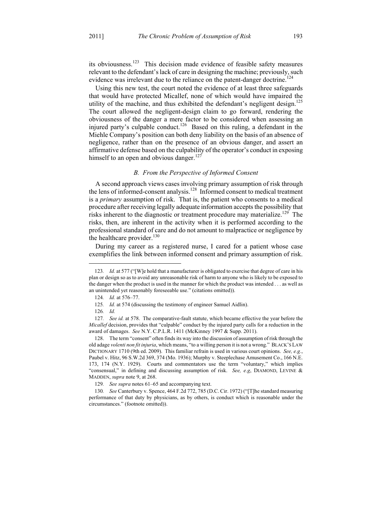its obviousness.123 This decision made evidence of feasible safety measures relevant to the defendant's lack of care in designing the machine; previously, such evidence was irrelevant due to the reliance on the patent-danger doctrine.<sup>124</sup>

Using this new test, the court noted the evidence of at least three safeguards that would have protected Micallef, none of which would have impaired the utility of the machine, and thus exhibited the defendant's negligent design.<sup>125</sup> The court allowed the negligent-design claim to go forward, rendering the obviousness of the danger a mere factor to be considered when assessing an injured party's culpable conduct.<sup>126</sup> Based on this ruling, a defendant in the Miehle Company's position can both deny liability on the basis of an absence of negligence, rather than on the presence of an obvious danger, and assert an affirmative defense based on the culpability of the operator's conduct in exposing himself to an open and obvious danger.<sup>127</sup>

## *B. From the Perspective of Informed Consent*

A second approach views cases involving primary assumption of risk through the lens of informed-consent analysis.<sup>128</sup> Informed consent to medical treatment is a *primary* assumption of risk. That is, the patient who consents to a medical procedure after receiving legally adequate information accepts the possibility that risks inherent to the diagnostic or treatment procedure may materialize.<sup>129</sup> The risks, then, are inherent in the activity when it is performed according to the professional standard of care and do not amount to malpractice or negligence by the healthcare provider. $130$ 

During my career as a registered nurse, I cared for a patient whose case exemplifies the link between informed consent and primary assumption of risk.

1

129*. See supra* notes 61–65 and accompanying text.

130*. See* Canterbury v. Spence, 464 F.2d 772, 785 (D.C. Cir. 1972) ("[T]he standard measuring performance of that duty by physicians, as by others, is conduct which is reasonable under the circumstances." (footnote omitted)).

<sup>123</sup>*. Id.* at 577 ("[W]e hold that a manufacturer is obligated to exercise that degree of care in his plan or design so as to avoid any unreasonable risk of harm to anyone who is likely to be exposed to the danger when the product is used in the manner for which the product was intended . . . as well as an unintended yet reasonably foreseeable use." (citations omitted)).

<sup>124</sup>*. Id.* at 576–77.

<sup>125</sup>*. Id.* at 574 (discussing the testimony of engineer Samuel Aidlin).

<sup>126</sup>*. Id.*

<sup>127</sup>*. See id.* at 578. The comparative-fault statute, which became effective the year before the *Micallef* decision, provides that "culpable" conduct by the injured party calls for a reduction in the award of damages. *See* N.Y. C.P.L.R. 1411 (McKinney 1997 & Supp. 2011).

 <sup>128.</sup> The term "consent" often finds its way into the discussion of assumption of risk through the old adage *volenti non fit injuria*, which means, "to a willing person it is not a wrong." BLACK'S LAW DICTIONARY 1710 (9th ed. 2009). This familiar refrain is used in various court opinions. *See, e.g.*, Paubel v. Hitz, 96 S.W.2d 369, 374 (Mo. 1936); Murphy v. Steeplechase Amusement Co., 166 N.E. 173, 174 (N.Y. 1929). Courts and commentators use the term "voluntary," which implies "consensual," in defining and discussing assumption of risk. *See, e.g*, DIAMOND, LEVINE & MADDEN, *supra* note 9, at 268.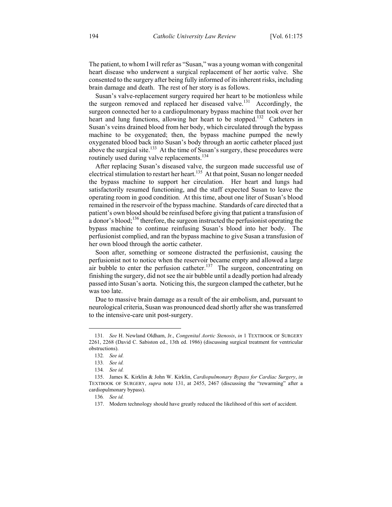The patient, to whom I will refer as "Susan," was a young woman with congenital heart disease who underwent a surgical replacement of her aortic valve. She consented to the surgery after being fully informed of its inherent risks, including brain damage and death. The rest of her story is as follows.

Susan's valve-replacement surgery required her heart to be motionless while the surgeon removed and replaced her diseased valve.<sup>131</sup> Accordingly, the surgeon connected her to a cardiopulmonary bypass machine that took over her heart and lung functions, allowing her heart to be stopped.<sup>132</sup> Catheters in Susan's veins drained blood from her body, which circulated through the bypass machine to be oxygenated; then, the bypass machine pumped the newly oxygenated blood back into Susan's body through an aortic catheter placed just above the surgical site.<sup>133</sup> At the time of Susan's surgery, these procedures were routinely used during valve replacements.<sup>134</sup>

After replacing Susan's diseased valve, the surgeon made successful use of electrical stimulation to restart her heart.<sup>135</sup> At that point, Susan no longer needed the bypass machine to support her circulation. Her heart and lungs had satisfactorily resumed functioning, and the staff expected Susan to leave the operating room in good condition. At this time, about one liter of Susan's blood remained in the reservoir of the bypass machine. Standards of care directed that a patient's own blood should be reinfused before giving that patient a transfusion of a donor's blood;<sup>136</sup> therefore, the surgeon instructed the perfusionist operating the bypass machine to continue reinfusing Susan's blood into her body. The perfusionist complied, and ran the bypass machine to give Susan a transfusion of her own blood through the aortic catheter.

Soon after, something or someone distracted the perfusionist, causing the perfusionist not to notice when the reservoir became empty and allowed a large air bubble to enter the perfusion catheter.<sup>137</sup> The surgeon, concentrating on finishing the surgery, did not see the air bubble until a deadly portion had already passed into Susan's aorta. Noticing this, the surgeon clamped the catheter, but he was too late.

Due to massive brain damage as a result of the air embolism, and, pursuant to neurological criteria, Susan was pronounced dead shortly after she was transferred to the intensive-care unit post-surgery.

<sup>131</sup>*. See* H. Newland Oldham, Jr., *Congenital Aortic Stenosis*, *in* 1 TEXTBOOK OF SURGERY 2261, 2268 (David C. Sabiston ed., 13th ed. 1986) (discussing surgical treatment for ventricular obstructions).

<sup>132</sup>*. See id.* 

<sup>133</sup>*. See id.*

<sup>134</sup>*. See id.*

 <sup>135.</sup> James K. Kirklin & John W. Kirklin, *Cardiopulmonary Bypass for Cardiac Surgery*, *in* TEXTBOOK OF SURGERY, *supra* note 131, at 2455, 2467 (discussing the "rewarming" after a cardiopulmonary bypass).

<sup>136</sup>*. See id.*

 <sup>137.</sup> Modern technology should have greatly reduced the likelihood of this sort of accident.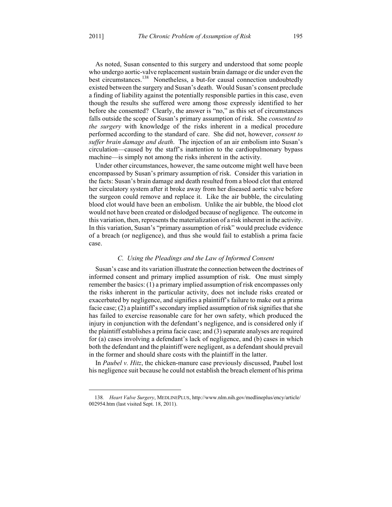<u>.</u>

As noted, Susan consented to this surgery and understood that some people who undergo aortic-valve replacement sustain brain damage or die under even the best circumstances.<sup>138</sup> Nonetheless, a but-for causal connection undoubtedly existed between the surgery and Susan's death. Would Susan's consent preclude a finding of liability against the potentially responsible parties in this case, even though the results she suffered were among those expressly identified to her before she consented? Clearly, the answer is "no," as this set of circumstances falls outside the scope of Susan's primary assumption of risk. She *consented to the surgery* with knowledge of the risks inherent in a medical procedure performed according to the standard of care. She did not, however, *consent to suffer brain damage and death*. The injection of an air embolism into Susan's circulation—caused by the staff's inattention to the cardiopulmonary bypass machine—is simply not among the risks inherent in the activity.

Under other circumstances, however, the same outcome might well have been encompassed by Susan's primary assumption of risk. Consider this variation in the facts: Susan's brain damage and death resulted from a blood clot that entered her circulatory system after it broke away from her diseased aortic valve before the surgeon could remove and replace it. Like the air bubble, the circulating blood clot would have been an embolism. Unlike the air bubble, the blood clot would not have been created or dislodged because of negligence. The outcome in this variation, then, represents the materialization of a risk inherent in the activity. In this variation, Susan's "primary assumption of risk" would preclude evidence of a breach (or negligence), and thus she would fail to establish a prima facie case.

#### *C. Using the Pleadings and the Law of Informed Consent*

Susan's case and its variation illustrate the connection between the doctrines of informed consent and primary implied assumption of risk. One must simply remember the basics: (1) a primary implied assumption of risk encompasses only the risks inherent in the particular activity, does not include risks created or exacerbated by negligence, and signifies a plaintiff's failure to make out a prima facie case; (2) a plaintiff's secondary implied assumption of risk signifies that she has failed to exercise reasonable care for her own safety, which produced the injury in conjunction with the defendant's negligence, and is considered only if the plaintiff establishes a prima facie case; and (3) separate analyses are required for (a) cases involving a defendant's lack of negligence, and (b) cases in which both the defendant and the plaintiff were negligent, as a defendant should prevail in the former and should share costs with the plaintiff in the latter.

In *Paubel v. Hitz*, the chicken-manure case previously discussed, Paubel lost his negligence suit because he could not establish the breach element of his prima

<sup>138</sup>*. Heart Valve Surgery*, MEDLINEPLUS, http://www.nlm.nih.gov/medlineplus/ency/article/ 002954.htm (last visited Sept. 18, 2011).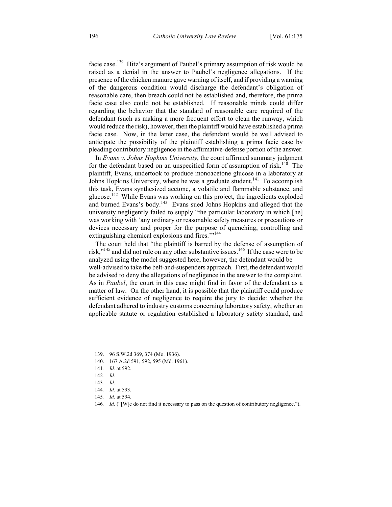facie case.139 Hitz's argument of Paubel's primary assumption of risk would be raised as a denial in the answer to Paubel's negligence allegations. If the presence of the chicken manure gave warning of itself, and if providing a warning of the dangerous condition would discharge the defendant's obligation of reasonable care, then breach could not be established and, therefore, the prima facie case also could not be established. If reasonable minds could differ regarding the behavior that the standard of reasonable care required of the defendant (such as making a more frequent effort to clean the runway, which would reduce the risk), however, then the plaintiff would have established a prima facie case. Now, in the latter case, the defendant would be well advised to anticipate the possibility of the plaintiff establishing a prima facie case by pleading contributory negligence in the affirmative-defense portion of the answer.

In *Evans v. Johns Hopkins University*, the court affirmed summary judgment for the defendant based on an unspecified form of assumption of risk.<sup>140</sup> The plaintiff, Evans, undertook to produce monoacetone glucose in a laboratory at Johns Hopkins University, where he was a graduate student.<sup>141</sup> To accomplish this task, Evans synthesized acetone, a volatile and flammable substance, and glucose.<sup>142</sup> While Evans was working on this project, the ingredients exploded and burned Evans's body.<sup>143</sup> Evans sued Johns Hopkins and alleged that the university negligently failed to supply "the particular laboratory in which [he] was working with 'any ordinary or reasonable safety measures or precautions or devices necessary and proper for the purpose of quenching, controlling and extinguishing chemical explosions and fires."<sup>144</sup>

The court held that "the plaintiff is barred by the defense of assumption of risk,"<sup>145</sup> and did not rule on any other substantive issues.<sup>146</sup> If the case were to be analyzed using the model suggested here, however, the defendant would be well-advised to take the belt-and-suspenders approach. First, the defendant would be advised to deny the allegations of negligence in the answer to the complaint. As in *Paubel*, the court in this case might find in favor of the defendant as a matter of law. On the other hand, it is possible that the plaintiff could produce sufficient evidence of negligence to require the jury to decide: whether the defendant adhered to industry customs concerning laboratory safety, whether an applicable statute or regulation established a laboratory safety standard, and

 <sup>139. 96</sup> S.W.2d 369, 374 (Mo. 1936).

 <sup>140. 167</sup> A.2d 591, 592, 595 (Md. 1961).

<sup>141</sup>*. Id.* at 592.

<sup>142</sup>*. Id.*

<sup>143</sup>*. Id.*

<sup>144</sup>*. Id.* at 593.

<sup>145</sup>*. Id.* at 594.

<sup>146</sup>*. Id.* ("[W]e do not find it necessary to pass on the question of contributory negligence.").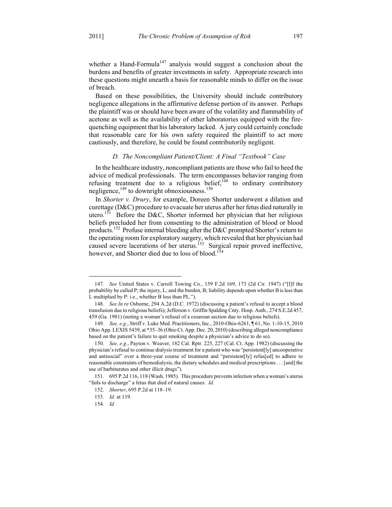whether a Hand-Formula<sup>147</sup> analysis would suggest a conclusion about the burdens and benefits of greater investments in safety. Appropriate research into these questions might unearth a basis for reasonable minds to differ on the issue of breach.

Based on these possibilities, the University should include contributory negligence allegations in the affirmative defense portion of its answer. Perhaps the plaintiff was or should have been aware of the volatility and flammability of acetone as well as the availability of other laboratories equipped with the firequenching equipment that his laboratory lacked. A jury could certainly conclude that reasonable care for his own safety required the plaintiff to act more cautiously, and therefore, he could be found contributorily negligent.

#### *D. The Noncompliant Patient/Client: A Final "Textbook" Case*

In the healthcare industry, noncompliant patients are those who fail to heed the advice of medical professionals. The term encompasses behavior ranging from refusing treatment due to a religious belief, $148$  to ordinary contributory negligence, $149$  to downright obnoxiousness.<sup>150</sup>

In *Shorter v. Drury*, for example, Doreen Shorter underwent a dilation and curettage (D&C) procedure to evacuate her uterus after her fetus died naturally in utero.<sup>151</sup> Before the D&C, Shorter informed her physician that her religious beliefs precluded her from consenting to the administration of blood or blood products.152 Profuse internal bleeding after the D&C prompted Shorter's return to the operating room for exploratory surgery, which revealed that her physician had caused severe lacerations of her uterus.<sup>153</sup> Surgical repair proved ineffective, however, and Shorter died due to loss of blood.<sup>154</sup>

<sup>147</sup>*. See* United States v. Carroll Towing Co., 159 F.2d 169, 173 (2d Cir. 1947) ("[I]f the probability be called P; the injury, L; and the burden, B; liability depends upon whether B is less than L multiplied by P: i.e., whether B less than PL.").

<sup>148</sup>*. See In re* Osborne, 294 A.2d (D.C. 1972) (discussing a patient's refusal to accept a blood transfusion due to religious beliefs); Jefferson v. Griffin Spalding Cnty. Hosp. Auth., 274 S.E.2d 457, 459 (Ga. 1981) (noting a woman's refusal of a cesarean section due to religious beliefs).

<sup>149</sup>*. See, e.g.*, Striff v. Luke Med. Practitioners, Inc., 2010-Ohio-6261, ¶ 61, No. 1-10-15, 2010 Ohio App. LEXIS 5439, at \*35–36 (Ohio Ct. App. Dec. 20, 2010) (describing alleged noncompliance based on the patient's failure to quit smoking despite a physician's advice to do so).

<sup>150</sup>*. See, e.g.*, Payton v. Weaver, 182 Cal. Rptr. 225, 227 (Cal. Ct. App. 1982) (discussing the physician's refusal to continue dialysis treatment for a patient who was "persistent[ly] uncooperative and antisocial" over a three-year course of treatment and "persistent[ly] refus[ed] to adhere to reasonable constraints of hemodialysis, the dietary schedules and medical prescriptions . . . [and] the use of barbiturates and other illicit drugs").

 <sup>151. 695</sup> P.2d 116, 118 (Wash. 1985). This procedure prevents infection when a woman's uterus "fails to discharge" a fetus that died of natural causes. *Id.*

 <sup>152.</sup> *Shorter*, 695 P.2d at 118–19.

<sup>153</sup>*. Id.* at 119.

<sup>154</sup>*. Id.*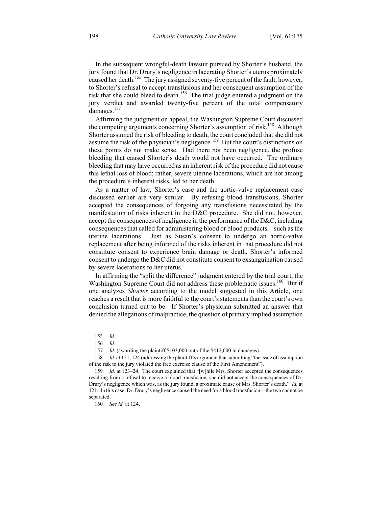In the subsequent wrongful-death lawsuit pursued by Shorter's husband, the jury found that Dr. Drury's negligence in lacerating Shorter's uterus proximately caused her death.<sup>155</sup> The jury assigned seventy-five percent of the fault, however, to Shorter's refusal to accept transfusions and her consequent assumption of the risk that she could bleed to death.<sup>156</sup> The trial judge entered a judgment on the jury verdict and awarded twenty-five percent of the total compensatory damages.<sup>157</sup>

Affirming the judgment on appeal, the Washington Supreme Court discussed the competing arguments concerning Shorter's assumption of risk.<sup>158</sup> Although Shorter assumed the risk of bleeding to death, the court concluded that she did not assume the risk of the physician's negligence.<sup>159</sup> But the court's distinctions on these points do not make sense. Had there not been negligence, the profuse bleeding that caused Shorter's death would not have occurred. The ordinary bleeding that may have occurred as an inherent risk of the procedure did not cause this lethal loss of blood; rather, severe uterine lacerations, which are not among the procedure's inherent risks, led to her death.

As a matter of law, Shorter's case and the aortic-valve replacement case discussed earlier are very similar. By refusing blood transfusions, Shorter accepted the consequences of forgoing any transfusions necessitated by the manifestation of risks inherent in the D&C procedure. She did not, however, accept the consequences of negligence in the performance of the D&C, including consequences that called for administering blood or blood products—such as the uterine lacerations. Just as Susan's consent to undergo an aortic-valve replacement after being informed of the risks inherent in that procedure did not constitute consent to experience brain damage or death, Shorter's informed consent to undergo the D&C did not constitute consent to exsanguination caused by severe lacerations to her uterus.

In affirming the "split the difference" judgment entered by the trial court, the Washington Supreme Court did not address these problematic issues.<sup>160</sup> But if one analyzes *Shorter* according to the model suggested in this Article, one reaches a result that is more faithful to the court's statements than the court's own conclusion turned out to be. If Shorter's physician submitted an answer that denied the allegations of malpractice, the question of primary implied assumption

<u>.</u>

<sup>155</sup>*. Id.*

<sup>156</sup>*. Id.*

<sup>157</sup>*. Id.* (awarding the plaintiff \$103,000 out of the \$412,000 in damages).

<sup>158</sup>*. Id.* at 121, 124 (addressing the plaintiff's argument that submitting "the issue of assumption of the risk to the jury violated the free exercise clause of the First Amendment").

<sup>159</sup>*. Id.* at 123–24. The court explained that "[w]hile Mrs. Shorter accepted the consequences resulting from a refusal to receive a blood transfusion, she did not accept the consequences of Dr. Drury's negligence which was, as the jury found, a proximate cause of Mrs. Shorter's death." *Id.* at 121. In this case, Dr. Drury's negligence caused the need for a blood transfusion—the two cannot be separated.

<sup>160</sup>*. See id.* at 124.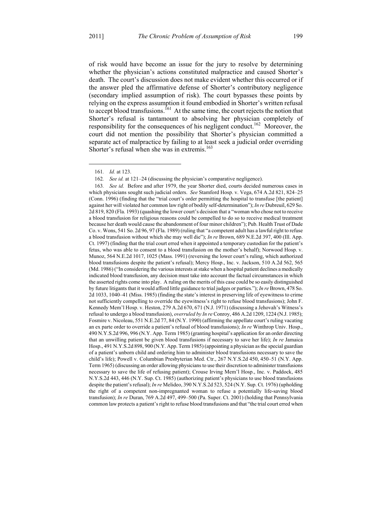of risk would have become an issue for the jury to resolve by determining whether the physician's actions constituted malpractice and caused Shorter's death. The court's discussion does not make evident whether this occurred or if the answer pled the affirmative defense of Shorter's contributory negligence (secondary implied assumption of risk). The court bypasses these points by relying on the express assumption it found embodied in Shorter's written refusal to accept blood transfusions.<sup>161</sup> At the same time, the court rejects the notion that Shorter's refusal is tantamount to absolving her physician completely of responsibility for the consequences of his negligent conduct.<sup>162</sup> Moreover, the court did not mention the possibility that Shorter's physician committed a separate act of malpractice by failing to at least seek a judicial order overriding Shorter's refusal when she was in extremis.<sup>163</sup>

<sup>161</sup>*. Id.* at 123.

<sup>162</sup>*. See id.* at 121–24 (discussing the physician's comparative negligence).

<sup>163</sup>*. See id.* Before and after 1979, the year Shorter died, courts decided numerous cases in which physicians sought such judicial orders. *See* Stamford Hosp. v. Vega, 674 A.2d 821, 824–25 (Conn. 1996) (finding that the "trial court's order permitting the hospital to transfuse [the patient] against her will violated her common law right of bodily self-determination"); *In re* Dubreuil, 629 So. 2d 819, 820 (Fla. 1993) (quashing the lower court's decision that a "woman who chose not to receive a blood transfusion for religious reasons could be compelled to do so to receive medical treatment because her death would cause the abandonment of four minor children"); Pub. Health Trust of Dade Co. v. Wons, 541 So. 2d 96, 97 (Fla. 1989) (ruling that "a competent adult has a lawful right to refuse a blood transfusion without which she may well die"); *In re* Brown, 689 N.E.2d 397, 400 (Ill. App. Ct. 1997) (finding that the trial court erred when it appointed a temporary custodian for the patient's fetus, who was able to consent to a blood transfusion on the mother's behalf); Norwood Hosp. v. Munoz, 564 N.E.2d 1017, 1025 (Mass. 1991) (reversing the lower court's ruling, which authorized blood transfusions despite the patient's refusal); Mercy Hosp., Inc. v. Jackson, 510 A.2d 562, 565 (Md. 1986) ("In considering the various interests at stake when a hospital patient declines a medically indicated blood transfusion, any decision must take into account the factual circumstances in which the asserted rights come into play. A ruling on the merits of this case could be so easily distinguished by future litigants that it would afford little guidance to trial judges or parties."); *In re* Brown, 478 So. 2d 1033, 1040–41 (Miss. 1985) (finding the state's interest in preserving life of eyewitness to crime not sufficiently compelling to override the eyewitness's right to refuse blood transfusions); John F. Kennedy Mem'l Hosp. v. Heston, 279 A.2d 670, 671 (N.J. 1971) (discussing a Jehovah's Witness's refusal to undergo a blood transfusion), *overruled by In re* Conroy, 486 A.2d 1209, 1224 (N.J. 1985); Fosmire v. Nicoleau, 551 N.E.2d 77, 84 (N.Y. 1990) (affirming the appellate court's ruling vacating an ex parte order to override a patient's refusal of blood transfusions); *In re* Winthrop Univ. Hosp., 490 N.Y.S.2d 996, 996 (N.Y. App. Term 1985) (granting hospital's application for an order directing that an unwilling patient be given blood transfusions if necessary to save her life); *In re* Jamaica Hosp., 491 N.Y.S.2d 898, 900 (N.Y. App. Term 1985) (appointing a physician as the special guardian of a patient's unborn child and ordering him to administer blood transfusions necessary to save the child's life); Powell v. Columbian Presbyterian Med. Ctr., 267 N.Y.S.2d 450, 450–51 (N.Y. App. Term 1965) (discussing an order allowing physicians to use their discretion to administer transfusions necessary to save the life of refusing patient); Crouse Irving Mem'l Hosp., Inc. v. Paddock, 485 N.Y.S.2d 443, 446 (N.Y. Sup. Ct. 1985) (authorizing patient's physicians to use blood transfusions despite the patient's refusal); *In re* Melideo, 390 N.Y.S.2d 523, 524 (N.Y. Sup. Ct. 1976) (upholding the right of a competent non-impregnanted woman to refuse a potentially life-saving blood transfusion); *In re* Duran, 769 A.2d 497, 499–500 (Pa. Super. Ct. 2001) (holding that Pennsylvania common law protects a patient's right to refuse blood transfusions and that "the trial court erred when